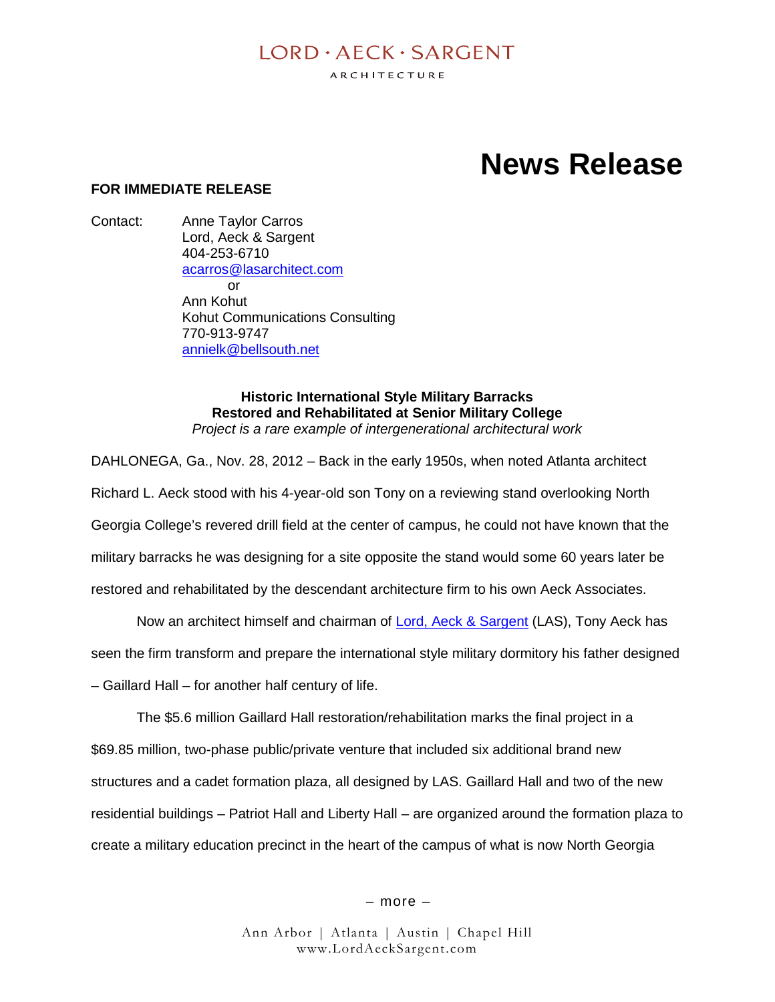## $I$  ORD  $\cdot$  AECK  $\cdot$  SARGENT

ARCHITECTURE

# **News Release**

#### **FOR IMMEDIATE RELEASE**

Contact: Anne Taylor Carros Lord, Aeck & Sargent 404-253-6710 acarros@lasarchitect.com or Ann Kohut Kohut Communications Consulting 770-913-9747 annielk@bellsouth.net

> **Historic International Style Military Barracks Restored and Rehabilitated at Senior Military College** *Project is a rare example of intergenerational architectural work*

DAHLONEGA, Ga., Nov. 28, 2012 – Back in the early 1950s, when noted Atlanta architect Richard L. Aeck stood with his 4-year-old son Tony on a reviewing stand overlooking North Georgia College's revered drill field at the center of campus, he could not have known that the military barracks he was designing for a site opposite the stand would some 60 years later be restored and rehabilitated by the descendant architecture firm to his own Aeck Associates.

Now an architect himself and chairman of Lord, Aeck & Sargent (LAS), Tony Aeck has

seen the firm transform and prepare the international style military dormitory his father designed

– Gaillard Hall – for another half century of life.

The \$5.6 million Gaillard Hall restoration/rehabilitation marks the final project in a \$69.85 million, two-phase public/private venture that included six additional brand new structures and a cadet formation plaza, all designed by LAS. Gaillard Hall and two of the new residential buildings – Patriot Hall and Liberty Hall – are organized around the formation plaza to create a military education precinct in the heart of the campus of what is now North Georgia

– more –

Ann Arbor | Atlanta | Austin | Chapel Hill www.LordAeckSargent.com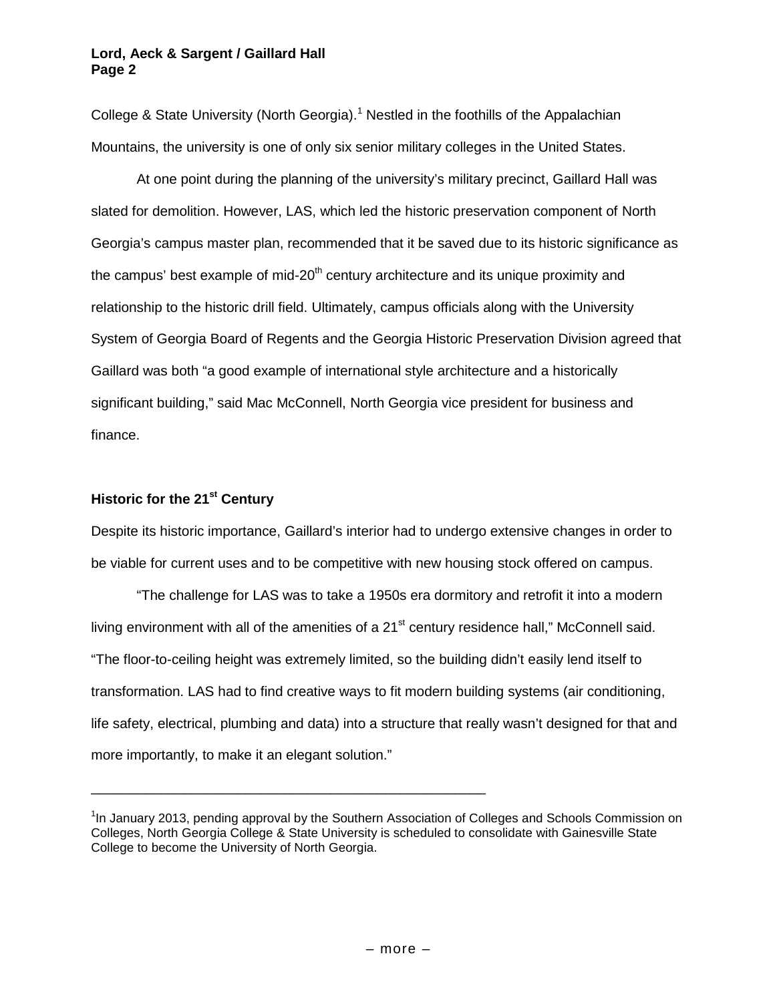College & State University (North Georgia).<sup>1</sup> Nestled in the foothills of the Appalachian Mountains, the university is one of only six senior military colleges in the United States.

At one point during the planning of the university's military precinct, Gaillard Hall was slated for demolition. However, LAS, which led the historic preservation component of North Georgia's campus master plan, recommended that it be saved due to its historic significance as the campus' best example of mid-20<sup>th</sup> century architecture and its unique proximity and relationship to the historic drill field. Ultimately, campus officials along with the University System of Georgia Board of Regents and the Georgia Historic Preservation Division agreed that Gaillard was both "a good example of international style architecture and a historically significant building," said Mac McConnell, North Georgia vice president for business and finance.

### **Historic for the 21st Century**

Despite its historic importance, Gaillard's interior had to undergo extensive changes in order to be viable for current uses and to be competitive with new housing stock offered on campus.

"The challenge for LAS was to take a 1950s era dormitory and retrofit it into a modern living environment with all of the amenities of a  $21<sup>st</sup>$  century residence hall," McConnell said. "The floor-to-ceiling height was extremely limited, so the building didn't easily lend itself to transformation. LAS had to find creative ways to fit modern building systems (air conditioning, life safety, electrical, plumbing and data) into a structure that really wasn't designed for that and more importantly, to make it an elegant solution."

\_\_\_\_\_\_\_\_\_\_\_\_\_\_\_\_\_\_\_\_\_\_\_\_\_\_\_\_\_\_\_\_\_\_\_\_\_\_\_\_\_\_\_\_\_\_\_\_\_\_\_

<sup>&</sup>lt;sup>1</sup>In January 2013, pending approval by the Southern Association of Colleges and Schools Commission on Colleges, North Georgia College & State University is scheduled to consolidate with Gainesville State College to become the University of North Georgia.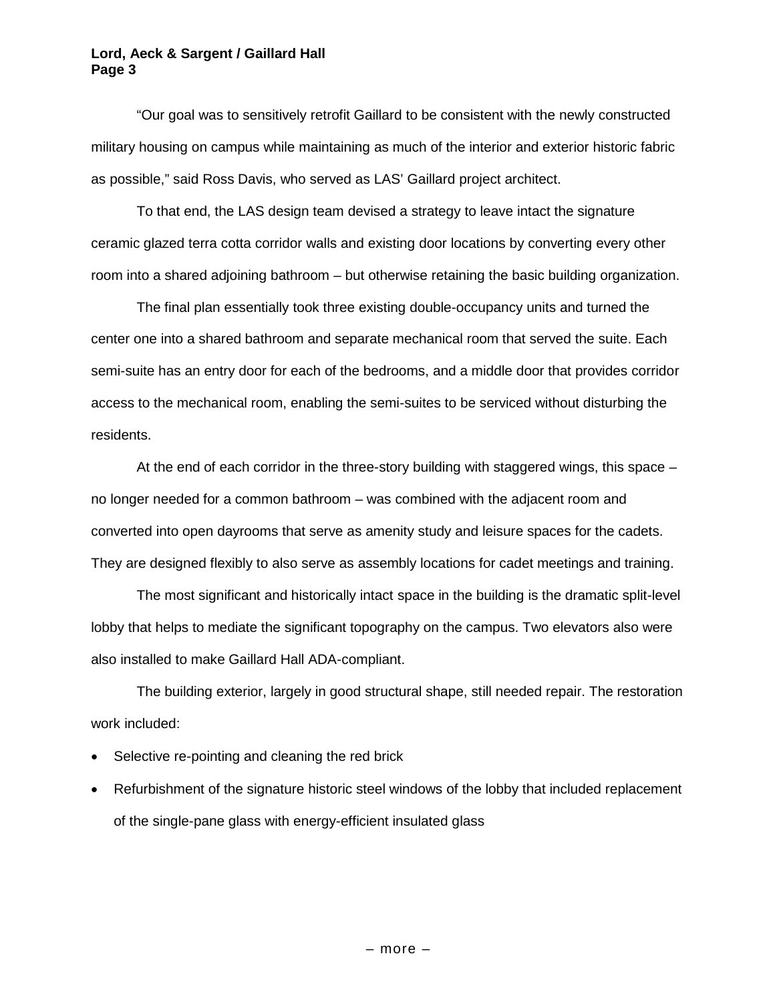"Our goal was to sensitively retrofit Gaillard to be consistent with the newly constructed military housing on campus while maintaining as much of the interior and exterior historic fabric as possible," said Ross Davis, who served as LAS' Gaillard project architect.

To that end, the LAS design team devised a strategy to leave intact the signature ceramic glazed terra cotta corridor walls and existing door locations by converting every other room into a shared adjoining bathroom – but otherwise retaining the basic building organization.

The final plan essentially took three existing double-occupancy units and turned the center one into a shared bathroom and separate mechanical room that served the suite. Each semi-suite has an entry door for each of the bedrooms, and a middle door that provides corridor access to the mechanical room, enabling the semi-suites to be serviced without disturbing the residents.

At the end of each corridor in the three-story building with staggered wings, this space – no longer needed for a common bathroom – was combined with the adjacent room and converted into open dayrooms that serve as amenity study and leisure spaces for the cadets. They are designed flexibly to also serve as assembly locations for cadet meetings and training.

The most significant and historically intact space in the building is the dramatic split-level lobby that helps to mediate the significant topography on the campus. Two elevators also were also installed to make Gaillard Hall ADA-compliant.

The building exterior, largely in good structural shape, still needed repair. The restoration work included:

- Selective re-pointing and cleaning the red brick
- Refurbishment of the signature historic steel windows of the lobby that included replacement of the single-pane glass with energy-efficient insulated glass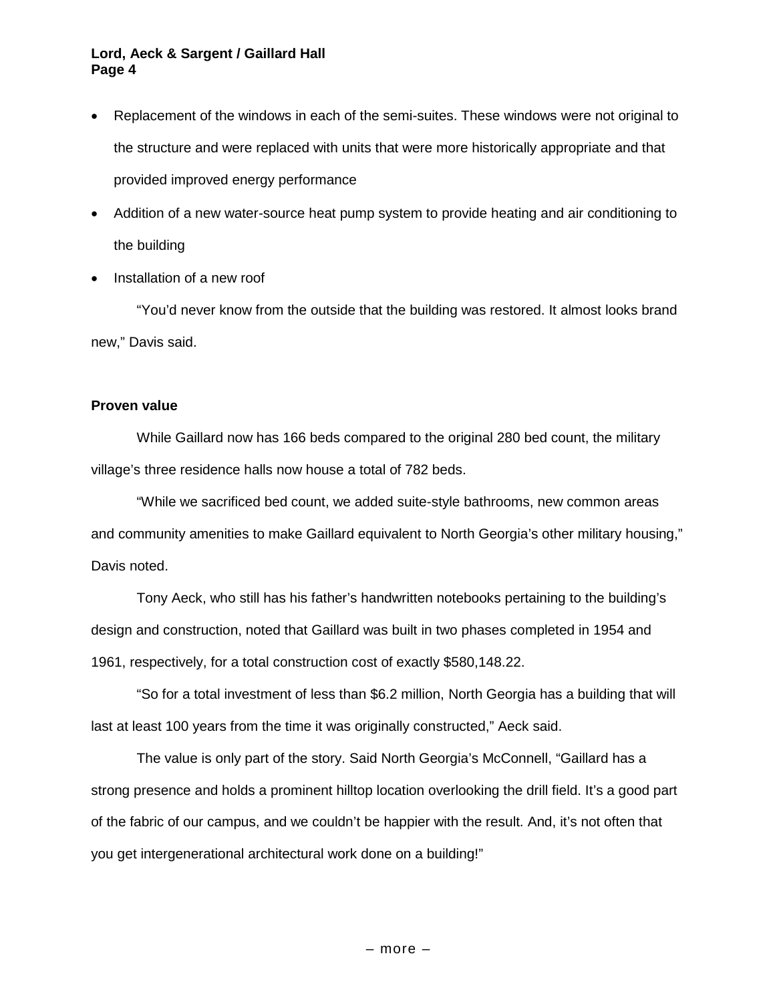- Replacement of the windows in each of the semi-suites. These windows were not original to the structure and were replaced with units that were more historically appropriate and that provided improved energy performance
- Addition of a new water-source heat pump system to provide heating and air conditioning to the building
- Installation of a new roof

"You'd never know from the outside that the building was restored. It almost looks brand new," Davis said.

#### **Proven value**

While Gaillard now has 166 beds compared to the original 280 bed count, the military village's three residence halls now house a total of 782 beds.

"While we sacrificed bed count, we added suite-style bathrooms, new common areas and community amenities to make Gaillard equivalent to North Georgia's other military housing," Davis noted.

Tony Aeck, who still has his father's handwritten notebooks pertaining to the building's design and construction, noted that Gaillard was built in two phases completed in 1954 and 1961, respectively, for a total construction cost of exactly \$580,148.22.

"So for a total investment of less than \$6.2 million, North Georgia has a building that will last at least 100 years from the time it was originally constructed," Aeck said.

The value is only part of the story. Said North Georgia's McConnell, "Gaillard has a strong presence and holds a prominent hilltop location overlooking the drill field. It's a good part of the fabric of our campus, and we couldn't be happier with the result. And, it's not often that you get intergenerational architectural work done on a building!"